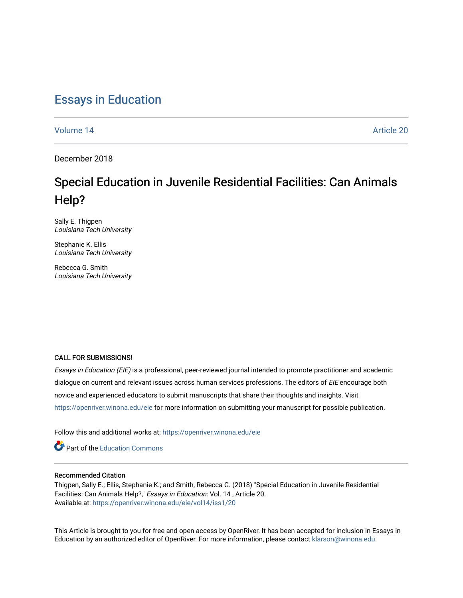## [Essays in Education](https://openriver.winona.edu/eie)

[Volume 14](https://openriver.winona.edu/eie/vol14) Article 20

December 2018

# Special Education in Juvenile Residential Facilities: Can Animals Help?

Sally E. Thigpen Louisiana Tech University

Stephanie K. Ellis Louisiana Tech University

Rebecca G. Smith Louisiana Tech University

#### CALL FOR SUBMISSIONS!

Essays in Education (EIE) is a professional, peer-reviewed journal intended to promote practitioner and academic dialogue on current and relevant issues across human services professions. The editors of EIE encourage both novice and experienced educators to submit manuscripts that share their thoughts and insights. Visit <https://openriver.winona.edu/eie> for more information on submitting your manuscript for possible publication.

Follow this and additional works at: [https://openriver.winona.edu/eie](https://openriver.winona.edu/eie?utm_source=openriver.winona.edu%2Feie%2Fvol14%2Fiss1%2F20&utm_medium=PDF&utm_campaign=PDFCoverPages) 

Part of the [Education Commons](http://network.bepress.com/hgg/discipline/784?utm_source=openriver.winona.edu%2Feie%2Fvol14%2Fiss1%2F20&utm_medium=PDF&utm_campaign=PDFCoverPages) 

#### Recommended Citation

Thigpen, Sally E.; Ellis, Stephanie K.; and Smith, Rebecca G. (2018) "Special Education in Juvenile Residential Facilities: Can Animals Help?," Essays in Education: Vol. 14 , Article 20. Available at: [https://openriver.winona.edu/eie/vol14/iss1/20](https://openriver.winona.edu/eie/vol14/iss1/20?utm_source=openriver.winona.edu%2Feie%2Fvol14%2Fiss1%2F20&utm_medium=PDF&utm_campaign=PDFCoverPages) 

This Article is brought to you for free and open access by OpenRiver. It has been accepted for inclusion in Essays in Education by an authorized editor of OpenRiver. For more information, please contact [klarson@winona.edu](mailto:klarson@winona.edu).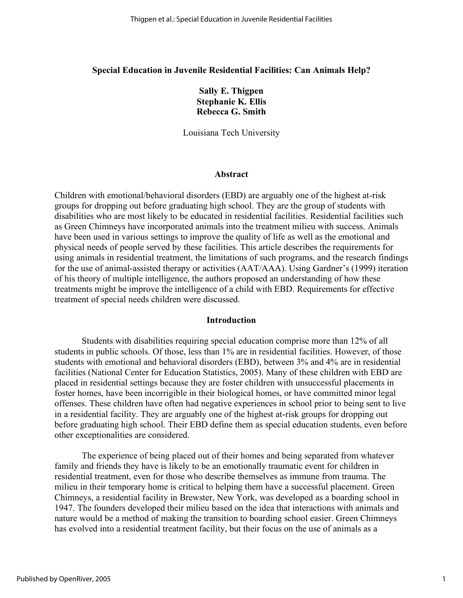### **Special Education in Juvenile Residential Facilities: Can Animals Help?**

**Sally E. Thigpen Stephanie K. Ellis Rebecca G. Smith**

Louisiana Tech University

#### **Abstract**

Children with emotional/behavioral disorders (EBD) are arguably one of the highest at-risk groups for dropping out before graduating high school. They are the group of students with disabilities who are most likely to be educated in residential facilities. Residential facilities such as Green Chimneys have incorporated animals into the treatment milieu with success. Animals have been used in various settings to improve the quality of life as well as the emotional and physical needs of people served by these facilities. This article describes the requirements for using animals in residential treatment, the limitations of such programs, and the research findings for the use of animal-assisted therapy or activities (AAT/AAA). Using Gardner's (1999) iteration of his theory of multiple intelligence, the authors proposed an understanding of how these treatments might be improve the intelligence of a child with EBD. Requirements for effective treatment of special needs children were discussed.

#### **Introduction**

Students with disabilities requiring special education comprise more than 12% of all students in public schools. Of those, less than 1% are in residential facilities. However, of those students with emotional and behavioral disorders (EBD), between 3% and 4% are in residential facilities (National Center for Education Statistics, 2005). Many of these children with EBD are placed in residential settings because they are foster children with unsuccessful placements in foster homes, have been incorrigible in their biological homes, or have committed minor legal offenses. These children have often had negative experiences in school prior to being sent to live in a residential facility. They are arguably one of the highest at-risk groups for dropping out before graduating high school. Their EBD define them as special education students, even before other exceptionalities are considered.

The experience of being placed out of their homes and being separated from whatever family and friends they have is likely to be an emotionally traumatic event for children in residential treatment, even for those who describe themselves as immune from trauma. The milieu in their temporary home is critical to helping them have a successful placement. Green Chimneys, a residential facility in Brewster, New York, was developed as a boarding school in 1947. The founders developed their milieu based on the idea that interactions with animals and nature would be a method of making the transition to boarding school easier. Green Chimneys has evolved into a residential treatment facility, but their focus on the use of animals as a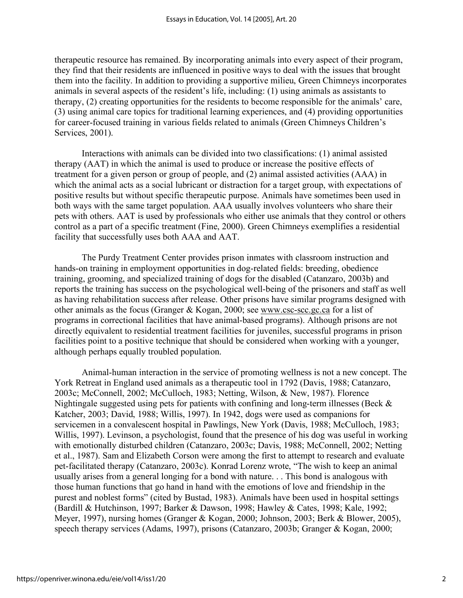therapeutic resource has remained. By incorporating animals into every aspect of their program, they find that their residents are influenced in positive ways to deal with the issues that brought them into the facility. In addition to providing a supportive milieu, Green Chimneys incorporates animals in several aspects of the resident's life, including: (1) using animals as assistants to therapy, (2) creating opportunities for the residents to become responsible for the animals' care, (3) using animal care topics for traditional learning experiences, and (4) providing opportunities for career-focused training in various fields related to animals (Green Chimneys Children's Services, 2001).

Interactions with animals can be divided into two classifications: (1) animal assisted therapy (AAT) in which the animal is used to produce or increase the positive effects of treatment for a given person or group of people, and (2) animal assisted activities (AAA) in which the animal acts as a social lubricant or distraction for a target group, with expectations of positive results but without specific therapeutic purpose. Animals have sometimes been used in both ways with the same target population. AAA usually involves volunteers who share their pets with others. AAT is used by professionals who either use animals that they control or others control as a part of a specific treatment (Fine, 2000). Green Chimneys exemplifies a residential facility that successfully uses both AAA and AAT.

The Purdy Treatment Center provides prison inmates with classroom instruction and hands-on training in employment opportunities in dog-related fields: breeding, obedience training, grooming, and specialized training of dogs for the disabled (Catanzaro, 2003b) and reports the training has success on the psychological well-being of the prisoners and staff as well as having rehabilitation success after release. Other prisons have similar programs designed with other animals as the focus (Granger & Kogan, 2000; see www.csc-scc.gc.ca for a list of programs in correctional facilities that have animal-based programs). Although prisons are not directly equivalent to residential treatment facilities for juveniles, successful programs in prison facilities point to a positive technique that should be considered when working with a younger, although perhaps equally troubled population.

Animal-human interaction in the service of promoting wellness is not a new concept. The York Retreat in England used animals as a therapeutic tool in 1792 (Davis, 1988; Catanzaro, 2003c; McConnell, 2002; McCulloch, 1983; Netting, Wilson, & New, 1987). Florence Nightingale suggested using pets for patients with confining and long-term illnesses (Beck & Katcher, 2003; David, 1988; Willis, 1997). In 1942, dogs were used as companions for servicemen in a convalescent hospital in Pawlings, New York (Davis, 1988; McCulloch, 1983; Willis, 1997). Levinson, a psychologist, found that the presence of his dog was useful in working with emotionally disturbed children (Catanzaro, 2003c; Davis, 1988; McConnell, 2002; Netting et al., 1987). Sam and Elizabeth Corson were among the first to attempt to research and evaluate pet-facilitated therapy (Catanzaro, 2003c). Konrad Lorenz wrote, "The wish to keep an animal usually arises from a general longing for a bond with nature. . . This bond is analogous with those human functions that go hand in hand with the emotions of love and friendship in the purest and noblest forms" (cited by Bustad, 1983). Animals have been used in hospital settings (Bardill & Hutchinson, 1997; Barker & Dawson, 1998; Hawley & Cates, 1998; Kale, 1992; Meyer, 1997), nursing homes (Granger & Kogan, 2000; Johnson, 2003; Berk & Blower, 2005), speech therapy services (Adams, 1997), prisons (Catanzaro, 2003b; Granger & Kogan, 2000;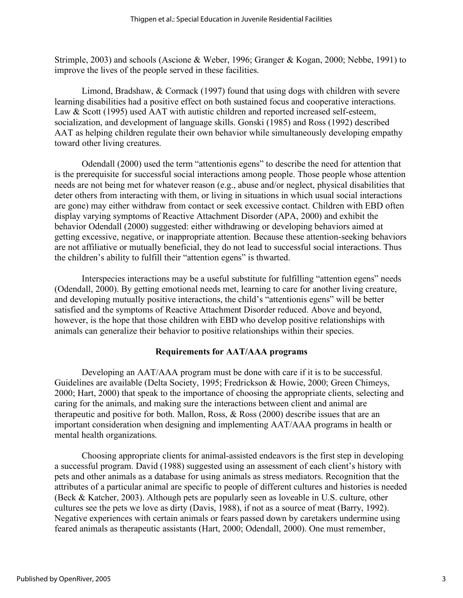Strimple, 2003) and schools (Ascione & Weber, 1996; Granger & Kogan, 2000; Nebbe, 1991) to improve the lives of the people served in these facilities.

Limond, Bradshaw, & Cormack (1997) found that using dogs with children with severe learning disabilities had a positive effect on both sustained focus and cooperative interactions. Law & Scott (1995) used AAT with autistic children and reported increased self-esteem, socialization, and development of language skills. Gonski (1985) and Ross (1992) described AAT as helping children regulate their own behavior while simultaneously developing empathy toward other living creatures.

Odendall (2000) used the term "attentionis egens" to describe the need for attention that is the prerequisite for successful social interactions among people. Those people whose attention needs are not being met for whatever reason (e.g., abuse and/or neglect, physical disabilities that deter others from interacting with them, or living in situations in which usual social interactions are gone) may either withdraw from contact or seek excessive contact. Children with EBD often display varying symptoms of Reactive Attachment Disorder (APA, 2000) and exhibit the behavior Odendall (2000) suggested: either withdrawing or developing behaviors aimed at getting excessive, negative, or inappropriate attention. Because these attention-seeking behaviors are not affiliative or mutually beneficial, they do not lead to successful social interactions. Thus the children's ability to fulfill their "attention egens" is thwarted.

Interspecies interactions may be a useful substitute for fulfilling "attention egens" needs (Odendall, 2000). By getting emotional needs met, learning to care for another living creature, and developing mutually positive interactions, the child's "attentionis egens" will be better satisfied and the symptoms of Reactive Attachment Disorder reduced. Above and beyond, however, is the hope that those children with EBD who develop positive relationships with animals can generalize their behavior to positive relationships within their species.

## **Requirements for AAT/AAA programs**

Developing an AAT/AAA program must be done with care if it is to be successful. Guidelines are available (Delta Society, 1995; Fredrickson & Howie, 2000; Green Chimeys, 2000; Hart, 2000) that speak to the importance of choosing the appropriate clients, selecting and caring for the animals, and making sure the interactions between client and animal are therapeutic and positive for both. Mallon, Ross, & Ross (2000) describe issues that are an important consideration when designing and implementing AAT/AAA programs in health or mental health organizations.

Choosing appropriate clients for animal-assisted endeavors is the first step in developing a successful program. David (1988) suggested using an assessment of each client's history with pets and other animals as a database for using animals as stress mediators. Recognition that the attributes of a particular animal are specific to people of different cultures and histories is needed (Beck & Katcher, 2003). Although pets are popularly seen as loveable in U.S. culture, other cultures see the pets we love as dirty (Davis, 1988), if not as a source of meat (Barry, 1992). Negative experiences with certain animals or fears passed down by caretakers undermine using feared animals as therapeutic assistants (Hart, 2000; Odendall, 2000). One must remember,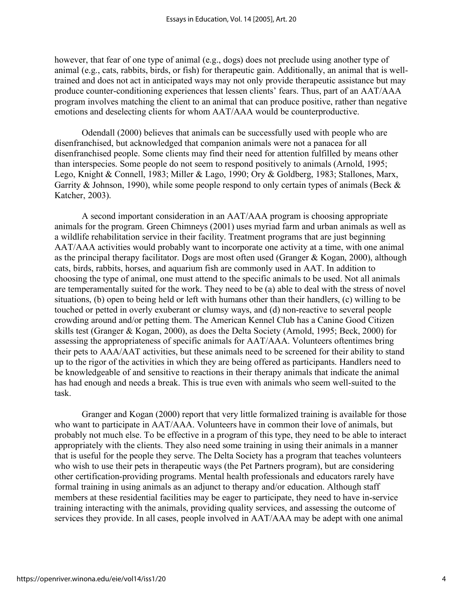however, that fear of one type of animal (e.g., dogs) does not preclude using another type of animal (e.g., cats, rabbits, birds, or fish) for therapeutic gain. Additionally, an animal that is welltrained and does not act in anticipated ways may not only provide therapeutic assistance but may produce counter-conditioning experiences that lessen clients' fears. Thus, part of an AAT/AAA program involves matching the client to an animal that can produce positive, rather than negative emotions and deselecting clients for whom AAT/AAA would be counterproductive.

Odendall (2000) believes that animals can be successfully used with people who are disenfranchised, but acknowledged that companion animals were not a panacea for all disenfranchised people. Some clients may find their need for attention fulfilled by means other than interspecies. Some people do not seem to respond positively to animals (Arnold, 1995; Lego, Knight & Connell, 1983; Miller & Lago, 1990; Ory & Goldberg, 1983; Stallones, Marx, Garrity & Johnson, 1990), while some people respond to only certain types of animals (Beck & Katcher, 2003).

A second important consideration in an AAT/AAA program is choosing appropriate animals for the program. Green Chimneys (2001) uses myriad farm and urban animals as well as a wildlife rehabilitation service in their facility. Treatment programs that are just beginning AAT/AAA activities would probably want to incorporate one activity at a time, with one animal as the principal therapy facilitator. Dogs are most often used (Granger & Kogan, 2000), although cats, birds, rabbits, horses, and aquarium fish are commonly used in AAT. In addition to choosing the type of animal, one must attend to the specific animals to be used. Not all animals are temperamentally suited for the work. They need to be (a) able to deal with the stress of novel situations, (b) open to being held or left with humans other than their handlers, (c) willing to be touched or petted in overly exuberant or clumsy ways, and (d) non-reactive to several people crowding around and/or petting them. The American Kennel Club has a Canine Good Citizen skills test (Granger & Kogan, 2000), as does the Delta Society (Arnold, 1995; Beck, 2000) for assessing the appropriateness of specific animals for AAT/AAA. Volunteers oftentimes bring their pets to AAA/AAT activities, but these animals need to be screened for their ability to stand up to the rigor of the activities in which they are being offered as participants. Handlers need to be knowledgeable of and sensitive to reactions in their therapy animals that indicate the animal has had enough and needs a break. This is true even with animals who seem well-suited to the task.

Granger and Kogan (2000) report that very little formalized training is available for those who want to participate in AAT/AAA. Volunteers have in common their love of animals, but probably not much else. To be effective in a program of this type, they need to be able to interact appropriately with the clients. They also need some training in using their animals in a manner that is useful for the people they serve. The Delta Society has a program that teaches volunteers who wish to use their pets in therapeutic ways (the Pet Partners program), but are considering other certification-providing programs. Mental health professionals and educators rarely have formal training in using animals as an adjunct to therapy and/or education. Although staff members at these residential facilities may be eager to participate, they need to have in-service training interacting with the animals, providing quality services, and assessing the outcome of services they provide. In all cases, people involved in AAT/AAA may be adept with one animal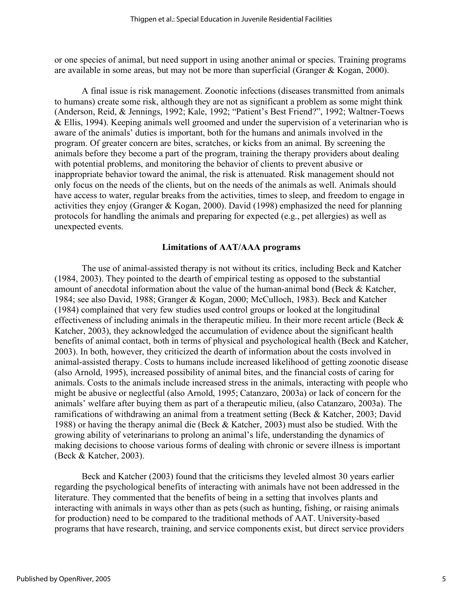or one species of animal, but need support in using another animal or species. Training programs are available in some areas, but may not be more than superficial (Granger & Kogan, 2000).

A final issue is risk management. Zoonotic infections (diseases transmitted from animals to humans) create some risk, although they are not as significant a problem as some might think (Anderson, Reid, & Jennings, 1992; Kale, 1992; "Patient's Best Friend?", 1992; Waltner-Toews & Ellis, 1994). Keeping animals well groomed and under the supervision of a veterinarian who is aware of the animals' duties is important, both for the humans and animals involved in the program. Of greater concern are bites, scratches, or kicks from an animal. By screening the animals before they become a part of the program, training the therapy providers about dealing with potential problems, and monitoring the behavior of clients to prevent abusive or inappropriate behavior toward the animal, the risk is attenuated. Risk management should not only focus on the needs of the clients, but on the needs of the animals as well. Animals should have access to water, regular breaks from the activities, times to sleep, and freedom to engage in activities they enjoy (Granger & Kogan, 2000). David (1998) emphasized the need for planning protocols for handling the animals and preparing for expected (e.g., pet allergies) as well as unexpected events.

#### **Limitations of AAT/AAA programs**

The use of animal-assisted therapy is not without its critics, including Beck and Katcher (1984, 2003). They pointed to the dearth of empirical testing as opposed to the substantial amount of anecdotal information about the value of the human-animal bond (Beck & Katcher, 1984; see also David, 1988; Granger & Kogan, 2000; McCulloch, 1983). Beck and Katcher (1984) complained that very few studies used control groups or looked at the longitudinal effectiveness of including animals in the therapeutic milieu. In their more recent article (Beck & Katcher, 2003), they acknowledged the accumulation of evidence about the significant health benefits of animal contact, both in terms of physical and psychological health (Beck and Katcher, 2003). In both, however, they criticized the dearth of information about the costs involved in animal-assisted therapy. Costs to humans include increased likelihood of getting zoonotic disease (also Arnold, 1995), increased possibility of animal bites, and the financial costs of caring for animals. Costs to the animals include increased stress in the animals, interacting with people who might be abusive or neglectful (also Arnold, 1995; Catanzaro, 2003a) or lack of concern for the animals' welfare after buying them as part of a therapeutic milieu, (also Catanzaro, 2003a). The ramifications of withdrawing an animal from a treatment setting (Beck & Katcher, 2003; David 1988) or having the therapy animal die (Beck & Katcher, 2003) must also be studied. With the growing ability of veterinarians to prolong an animal's life, understanding the dynamics of making decisions to choose various forms of dealing with chronic or severe illness is important (Beck & Katcher, 2003).

Beck and Katcher (2003) found that the criticisms they leveled almost 30 years earlier regarding the psychological benefits of interacting with animals have not been addressed in the literature. They commented that the benefits of being in a setting that involves plants and interacting with animals in ways other than as pets (such as hunting, fishing, or raising animals for production) need to be compared to the traditional methods of AAT. University-based programs that have research, training, and service components exist, but direct service providers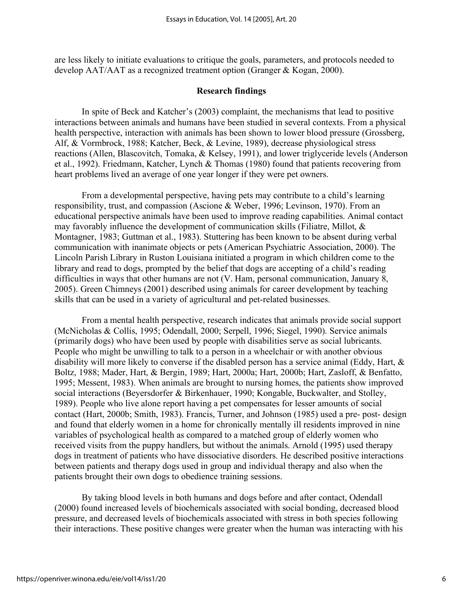are less likely to initiate evaluations to critique the goals, parameters, and protocols needed to develop AAT/AAT as a recognized treatment option (Granger & Kogan, 2000).

#### **Research findings**

In spite of Beck and Katcher's (2003) complaint, the mechanisms that lead to positive interactions between animals and humans have been studied in several contexts. From a physical health perspective, interaction with animals has been shown to lower blood pressure (Grossberg, Alf, & Vormbrock, 1988; Katcher, Beck, & Levine, 1989), decrease physiological stress reactions (Allen, Blascovitch, Tomaka, & Kelsey, 1991), and lower triglyceride levels (Anderson et al., 1992). Friedmann, Katcher, Lynch & Thomas (1980) found that patients recovering from heart problems lived an average of one year longer if they were pet owners.

From a developmental perspective, having pets may contribute to a child's learning responsibility, trust, and compassion (Ascione & Weber, 1996; Levinson, 1970). From an educational perspective animals have been used to improve reading capabilities. Animal contact may favorably influence the development of communication skills (Filiatre, Millot, & Montagner, 1983; Guttman et al., 1983). Stuttering has been known to be absent during verbal communication with inanimate objects or pets (American Psychiatric Association, 2000). The Lincoln Parish Library in Ruston Louisiana initiated a program in which children come to the library and read to dogs, prompted by the belief that dogs are accepting of a child's reading difficulties in ways that other humans are not (V. Ham, personal communication, January 8, 2005). Green Chimneys (2001) described using animals for career development by teaching skills that can be used in a variety of agricultural and pet-related businesses.

From a mental health perspective, research indicates that animals provide social support (McNicholas & Collis, 1995; Odendall, 2000; Serpell, 1996; Siegel, 1990). Service animals (primarily dogs) who have been used by people with disabilities serve as social lubricants. People who might be unwilling to talk to a person in a wheelchair or with another obvious disability will more likely to converse if the disabled person has a service animal (Eddy, Hart, & Boltz, 1988; Mader, Hart, & Bergin, 1989; Hart, 2000a; Hart, 2000b; Hart, Zasloff, & Benfatto, 1995; Messent, 1983). When animals are brought to nursing homes, the patients show improved social interactions (Beyersdorfer & Birkenhauer, 1990; Kongable, Buckwalter, and Stolley, 1989). People who live alone report having a pet compensates for lesser amounts of social contact (Hart, 2000b; Smith, 1983). Francis, Turner, and Johnson (1985) used a pre- post- design and found that elderly women in a home for chronically mentally ill residents improved in nine variables of psychological health as compared to a matched group of elderly women who received visits from the puppy handlers, but without the animals. Arnold (1995) used therapy dogs in treatment of patients who have dissociative disorders. He described positive interactions between patients and therapy dogs used in group and individual therapy and also when the patients brought their own dogs to obedience training sessions.

By taking blood levels in both humans and dogs before and after contact, Odendall (2000) found increased levels of biochemicals associated with social bonding, decreased blood pressure, and decreased levels of biochemicals associated with stress in both species following their interactions. These positive changes were greater when the human was interacting with his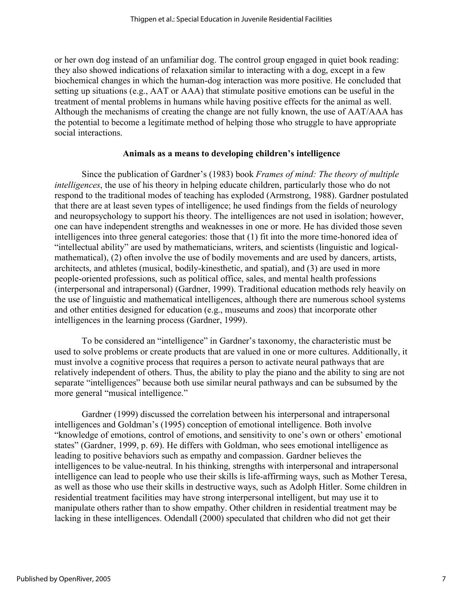or her own dog instead of an unfamiliar dog. The control group engaged in quiet book reading: they also showed indications of relaxation similar to interacting with a dog, except in a few biochemical changes in which the human-dog interaction was more positive. He concluded that setting up situations (e.g., AAT or AAA) that stimulate positive emotions can be useful in the treatment of mental problems in humans while having positive effects for the animal as well. Although the mechanisms of creating the change are not fully known, the use of AAT/AAA has the potential to become a legitimate method of helping those who struggle to have appropriate social interactions.

### **Animals as a means to developing children's intelligence**

Since the publication of Gardner's (1983) book *Frames of mind: The theory of multiple intelligences*, the use of his theory in helping educate children, particularly those who do not respond to the traditional modes of teaching has exploded (Armstrong, 1988). Gardner postulated that there are at least seven types of intelligence; he used findings from the fields of neurology and neuropsychology to support his theory. The intelligences are not used in isolation; however, one can have independent strengths and weaknesses in one or more. He has divided those seven intelligences into three general categories: those that (1) fit into the more time-honored idea of "intellectual ability" are used by mathematicians, writers, and scientists (linguistic and logicalmathematical), (2) often involve the use of bodily movements and are used by dancers, artists, architects, and athletes (musical, bodily-kinesthetic, and spatial), and (3) are used in more people-oriented professions, such as political office, sales, and mental health professions (interpersonal and intrapersonal) (Gardner, 1999). Traditional education methods rely heavily on the use of linguistic and mathematical intelligences, although there are numerous school systems and other entities designed for education (e.g., museums and zoos) that incorporate other intelligences in the learning process (Gardner, 1999).

To be considered an "intelligence" in Gardner's taxonomy, the characteristic must be used to solve problems or create products that are valued in one or more cultures. Additionally, it must involve a cognitive process that requires a person to activate neural pathways that are relatively independent of others. Thus, the ability to play the piano and the ability to sing are not separate "intelligences" because both use similar neural pathways and can be subsumed by the more general "musical intelligence."

Gardner (1999) discussed the correlation between his interpersonal and intrapersonal intelligences and Goldman's (1995) conception of emotional intelligence. Both involve "knowledge of emotions, control of emotions, and sensitivity to one's own or others' emotional states" (Gardner, 1999, p. 69). He differs with Goldman, who sees emotional intelligence as leading to positive behaviors such as empathy and compassion. Gardner believes the intelligences to be value-neutral. In his thinking, strengths with interpersonal and intrapersonal intelligence can lead to people who use their skills is life-affirming ways, such as Mother Teresa, as well as those who use their skills in destructive ways, such as Adolph Hitler. Some children in residential treatment facilities may have strong interpersonal intelligent, but may use it to manipulate others rather than to show empathy. Other children in residential treatment may be lacking in these intelligences. Odendall (2000) speculated that children who did not get their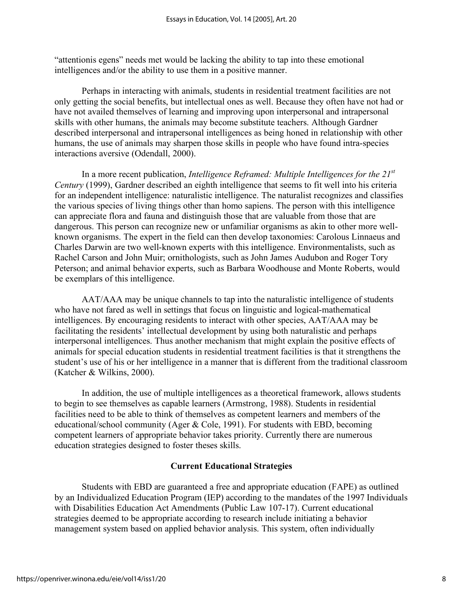"attentionis egens" needs met would be lacking the ability to tap into these emotional intelligences and/or the ability to use them in a positive manner.

Perhaps in interacting with animals, students in residential treatment facilities are not only getting the social benefits, but intellectual ones as well. Because they often have not had or have not availed themselves of learning and improving upon interpersonal and intrapersonal skills with other humans, the animals may become substitute teachers. Although Gardner described interpersonal and intrapersonal intelligences as being honed in relationship with other humans, the use of animals may sharpen those skills in people who have found intra-species interactions aversive (Odendall, 2000).

In a more recent publication, *Intelligence Reframed: Multiple Intelligences for the 21st Century* (1999), Gardner described an eighth intelligence that seems to fit well into his criteria for an independent intelligence: naturalistic intelligence. The naturalist recognizes and classifies the various species of living things other than homo sapiens. The person with this intelligence can appreciate flora and fauna and distinguish those that are valuable from those that are dangerous. This person can recognize new or unfamiliar organisms as akin to other more wellknown organisms. The expert in the field can then develop taxonomies: Carolous Linnaeus and Charles Darwin are two well-known experts with this intelligence. Environmentalists, such as Rachel Carson and John Muir; ornithologists, such as John James Audubon and Roger Tory Peterson; and animal behavior experts, such as Barbara Woodhouse and Monte Roberts, would be exemplars of this intelligence.

AAT/AAA may be unique channels to tap into the naturalistic intelligence of students who have not fared as well in settings that focus on linguistic and logical-mathematical intelligences. By encouraging residents to interact with other species, AAT/AAA may be facilitating the residents' intellectual development by using both naturalistic and perhaps interpersonal intelligences. Thus another mechanism that might explain the positive effects of animals for special education students in residential treatment facilities is that it strengthens the student's use of his or her intelligence in a manner that is different from the traditional classroom (Katcher & Wilkins, 2000).

In addition, the use of multiple intelligences as a theoretical framework, allows students to begin to see themselves as capable learners (Armstrong, 1988). Students in residential facilities need to be able to think of themselves as competent learners and members of the educational/school community (Ager & Cole, 1991). For students with EBD, becoming competent learners of appropriate behavior takes priority. Currently there are numerous education strategies designed to foster theses skills.

#### **Current Educational Strategies**

Students with EBD are guaranteed a free and appropriate education (FAPE) as outlined by an Individualized Education Program (IEP) according to the mandates of the 1997 Individuals with Disabilities Education Act Amendments (Public Law 107-17). Current educational strategies deemed to be appropriate according to research include initiating a behavior management system based on applied behavior analysis. This system, often individually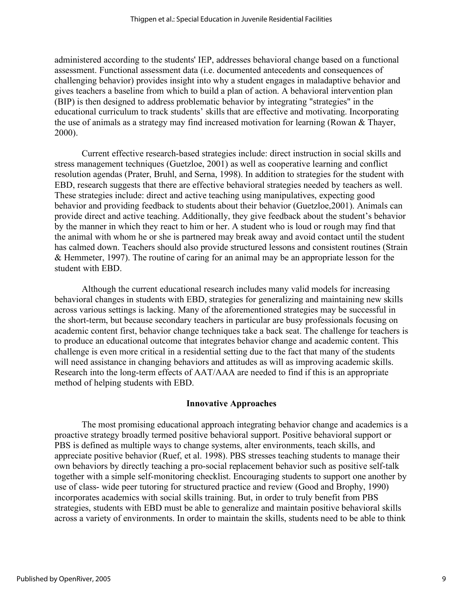administered according to the students' IEP, addresses behavioral change based on a functional assessment. Functional assessment data (i.e. documented antecedents and consequences of challenging behavior) provides insight into why a student engages in maladaptive behavior and gives teachers a baseline from which to build a plan of action. A behavioral intervention plan (BIP) is then designed to address problematic behavior by integrating "strategies" in the educational curriculum to track students' skills that are effective and motivating. Incorporating the use of animals as a strategy may find increased motivation for learning (Rowan & Thayer, 2000).

Current effective research-based strategies include: direct instruction in social skills and stress management techniques (Guetzloe, 2001) as well as cooperative learning and conflict resolution agendas (Prater, Bruhl, and Serna, 1998). In addition to strategies for the student with EBD, research suggests that there are effective behavioral strategies needed by teachers as well. These strategies include: direct and active teaching using manipulatives, expecting good behavior and providing feedback to students about their behavior (Guetzloe,2001). Animals can provide direct and active teaching. Additionally, they give feedback about the student's behavior by the manner in which they react to him or her. A student who is loud or rough may find that the animal with whom he or she is partnered may break away and avoid contact until the student has calmed down. Teachers should also provide structured lessons and consistent routines (Strain & Hemmeter, 1997). The routine of caring for an animal may be an appropriate lesson for the student with EBD.

Although the current educational research includes many valid models for increasing behavioral changes in students with EBD, strategies for generalizing and maintaining new skills across various settings is lacking. Many of the aforementioned strategies may be successful in the short-term, but because secondary teachers in particular are busy professionals focusing on academic content first, behavior change techniques take a back seat. The challenge for teachers is to produce an educational outcome that integrates behavior change and academic content. This challenge is even more critical in a residential setting due to the fact that many of the students will need assistance in changing behaviors and attitudes as will as improving academic skills. Research into the long-term effects of AAT/AAA are needed to find if this is an appropriate method of helping students with EBD.

#### **Innovative Approaches**

The most promising educational approach integrating behavior change and academics is a proactive strategy broadly termed positive behavioral support. Positive behavioral support or PBS is defined as multiple ways to change systems, alter environments, teach skills, and appreciate positive behavior (Ruef, et al. 1998). PBS stresses teaching students to manage their own behaviors by directly teaching a pro-social replacement behavior such as positive self-talk together with a simple self-monitoring checklist. Encouraging students to support one another by use of class- wide peer tutoring for structured practice and review (Good and Brophy, 1990) incorporates academics with social skills training. But, in order to truly benefit from PBS strategies, students with EBD must be able to generalize and maintain positive behavioral skills across a variety of environments. In order to maintain the skills, students need to be able to think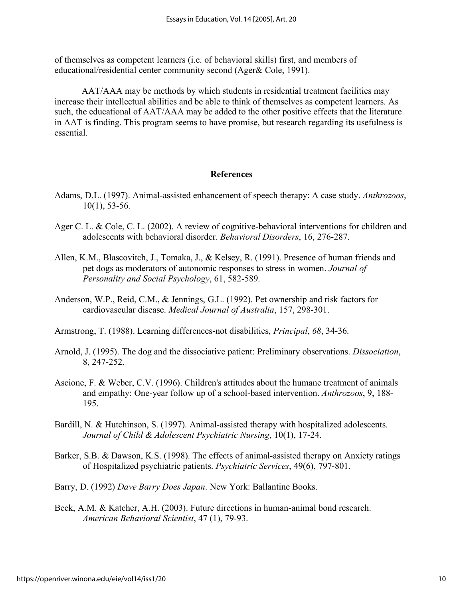of themselves as competent learners (i.e. of behavioral skills) first, and members of educational/residential center community second (Ager& Cole, 1991).

AAT/AAA may be methods by which students in residential treatment facilities may increase their intellectual abilities and be able to think of themselves as competent learners. As such, the educational of AAT/AAA may be added to the other positive effects that the literature in AAT is finding. This program seems to have promise, but research regarding its usefulness is essential.

#### **References**

- Adams, D.L. (1997). Animal-assisted enhancement of speech therapy: A case study. *Anthrozoos*, 10(1), 53-56.
- Ager C. L. & Cole, C. L. (2002). A review of cognitive-behavioral interventions for children and adolescents with behavioral disorder. *Behavioral Disorders*, 16, 276-287.
- Allen, K.M., Blascovitch, J., Tomaka, J., & Kelsey, R. (1991). Presence of human friends and pet dogs as moderators of autonomic responses to stress in women. *Journal of Personality and Social Psychology*, 61, 582-589.
- Anderson, W.P., Reid, C.M., & Jennings, G.L. (1992). Pet ownership and risk factors for cardiovascular disease. *Medical Journal of Australia*, 157, 298-301.
- Armstrong, T. (1988). Learning differences-not disabilities, *Principal*, *68*, 34-36.
- Arnold, J. (1995). The dog and the dissociative patient: Preliminary observations. *Dissociation*, 8, 247-252.
- Ascione, F. & Weber, C.V. (1996). Children's attitudes about the humane treatment of animals and empathy: One-year follow up of a school-based intervention. *Anthrozoos*, 9, 188- 195.
- Bardill, N. & Hutchinson, S. (1997). Animal-assisted therapy with hospitalized adolescents. *Journal of Child & Adolescent Psychiatric Nursing*, 10(1), 17-24.
- Barker, S.B. & Dawson, K.S. (1998). The effects of animal-assisted therapy on Anxiety ratings of Hospitalized psychiatric patients. *Psychiatric Services*, 49(6), 797-801.

Barry, D. (1992) *Dave Barry Does Japan*. New York: Ballantine Books.

Beck, A.M. & Katcher, A.H. (2003). Future directions in human-animal bond research. *American Behavioral Scientist*, 47 (1), 79-93.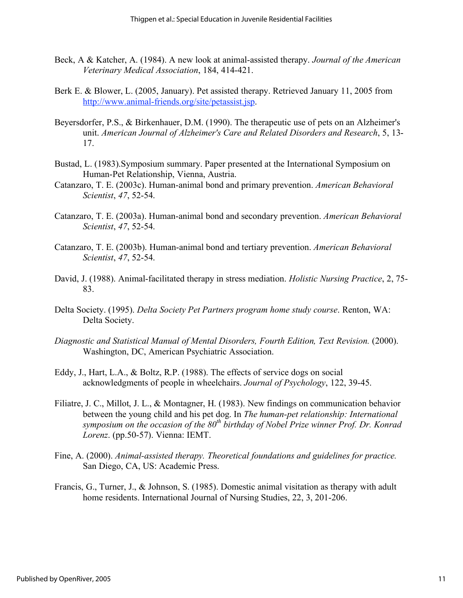- Beck, A & Katcher, A. (1984). A new look at animal-assisted therapy. *Journal of the American Veterinary Medical Association*, 184, 414-421.
- Berk E. & Blower, L. (2005, January). Pet assisted therapy. Retrieved January 11, 2005 from http://www.animal-friends.org/site/petassist.jsp.
- Beyersdorfer, P.S., & Birkenhauer, D.M. (1990). The therapeutic use of pets on an Alzheimer's unit. *American Journal of Alzheimer's Care and Related Disorders and Research*, 5, 13- 17.
- Bustad, L. (1983).Symposium summary. Paper presented at the International Symposium on Human-Pet Relationship, Vienna, Austria.
- Catanzaro, T. E. (2003c). Human-animal bond and primary prevention. *American Behavioral Scientist*, *47*, 52-54.
- Catanzaro, T. E. (2003a). Human-animal bond and secondary prevention. *American Behavioral Scientist*, *47*, 52-54.
- Catanzaro, T. E. (2003b). Human-animal bond and tertiary prevention. *American Behavioral Scientist*, *47*, 52-54.
- David, J. (1988). Animal-facilitated therapy in stress mediation. *Holistic Nursing Practice*, 2, 75- 83.
- Delta Society. (1995). *Delta Society Pet Partners program home study course*. Renton, WA: Delta Society.
- *Diagnostic and Statistical Manual of Mental Disorders, Fourth Edition, Text Revision.* (2000). Washington, DC, American Psychiatric Association.
- Eddy, J., Hart, L.A., & Boltz, R.P. (1988). The effects of service dogs on social acknowledgments of people in wheelchairs. *Journal of Psychology*, 122, 39-45.
- Filiatre, J. C., Millot, J. L., & Montagner, H. (1983). New findings on communication behavior between the young child and his pet dog. In *The human-pet relationship: International*  symposium on the occasion of the 80<sup>th</sup> birthday of Nobel Prize winner Prof. Dr. Konrad *Lorenz*. (pp.50-57). Vienna: IEMT.
- Fine, A. (2000). *Animal-assisted therapy. Theoretical foundations and guidelines for practice.* San Diego, CA, US: Academic Press.
- Francis, G., Turner, J., & Johnson, S. (1985). Domestic animal visitation as therapy with adult home residents. International Journal of Nursing Studies, 22, 3, 201-206.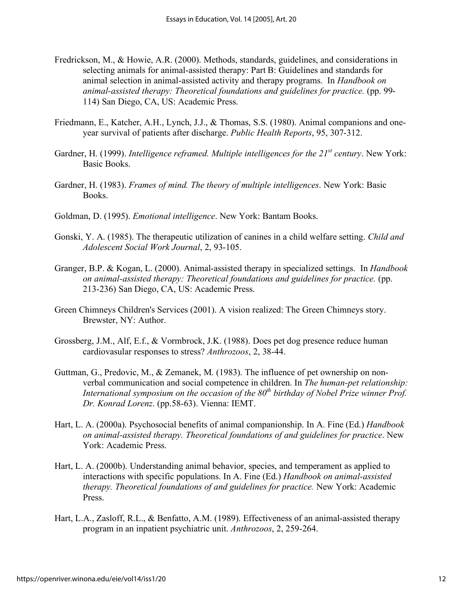- Fredrickson, M., & Howie, A.R. (2000). Methods, standards, guidelines, and considerations in selecting animals for animal-assisted therapy: Part B: Guidelines and standards for animal selection in animal-assisted activity and therapy programs. In *Handbook on animal-assisted therapy: Theoretical foundations and guidelines for practice.* (pp. 99- 114) San Diego, CA, US: Academic Press.
- Friedmann, E., Katcher, A.H., Lynch, J.J., & Thomas, S.S. (1980). Animal companions and oneyear survival of patients after discharge. *Public Health Reports*, 95, 307-312.
- Gardner, H. (1999). *Intelligence reframed. Multiple intelligences for the 21<sup>st</sup> century*. New York: Basic Books.
- Gardner, H. (1983). *Frames of mind. The theory of multiple intelligences*. New York: Basic Books.
- Goldman, D. (1995). *Emotional intelligence*. New York: Bantam Books.
- Gonski, Y. A. (1985). The therapeutic utilization of canines in a child welfare setting. *Child and Adolescent Social Work Journal*, 2, 93-105.
- Granger, B.P. & Kogan, L. (2000). Animal-assisted therapy in specialized settings. In *Handbook on animal-assisted therapy: Theoretical foundations and guidelines for practice.* (pp. 213-236) San Diego, CA, US: Academic Press.
- Green Chimneys Children's Services (2001). A vision realized: The Green Chimneys story. Brewster, NY: Author.
- Grossberg, J.M., Alf, E.f., & Vormbrock, J.K. (1988). Does pet dog presence reduce human cardiovasular responses to stress? *Anthrozoos*, 2, 38-44.
- Guttman, G., Predovic, M., & Zemanek, M. (1983). The influence of pet ownership on nonverbal communication and social competence in children. In *The human-pet relationship: International symposium on the occasion of the 80<sup>th</sup> birthday of Nobel Prize winner Prof. Dr. Konrad Lorenz*. (pp.58-63). Vienna: IEMT.
- Hart, L. A. (2000a). Psychosocial benefits of animal companionship. In A. Fine (Ed.) *Handbook on animal-assisted therapy. Theoretical foundations of and guidelines for practice*. New York: Academic Press.
- Hart, L. A. (2000b). Understanding animal behavior, species, and temperament as applied to interactions with specific populations. In A. Fine (Ed.) *Handbook on animal-assisted therapy. Theoretical foundations of and guidelines for practice.* New York: Academic Press.
- Hart, L.A., Zasloff, R.L., & Benfatto, A.M. (1989). Effectiveness of an animal-assisted therapy program in an inpatient psychiatric unit. *Anthrozoos*, 2, 259-264.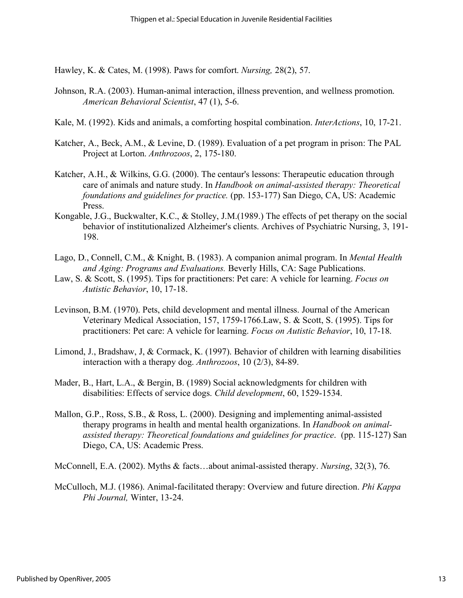Hawley, K. & Cates, M. (1998). Paws for comfort. *Nursing,* 28(2), 57.

- Johnson, R.A. (2003). Human-animal interaction, illness prevention, and wellness promotion. *American Behavioral Scientist*, 47 (1), 5-6.
- Kale, M. (1992). Kids and animals, a comforting hospital combination. *InterActions*, 10, 17-21.
- Katcher, A., Beck, A.M., & Levine, D. (1989). Evaluation of a pet program in prison: The PAL Project at Lorton. *Anthrozoos*, 2, 175-180.
- Katcher, A.H., & Wilkins, G.G. (2000). The centaur's lessons: Therapeutic education through care of animals and nature study. In *Handbook on animal-assisted therapy: Theoretical foundations and guidelines for practice.* (pp. 153-177) San Diego, CA, US: Academic Press.
- Kongable, J.G., Buckwalter, K.C., & Stolley, J.M.(1989.) The effects of pet therapy on the social behavior of institutionalized Alzheimer's clients. Archives of Psychiatric Nursing, 3, 191- 198.
- Lago, D., Connell, C.M., & Knight, B. (1983). A companion animal program. In *Mental Health and Aging: Programs and Evaluations.* Beverly Hills, CA: Sage Publications.
- Law, S. & Scott, S. (1995). Tips for practitioners: Pet care: A vehicle for learning. *Focus on Autistic Behavior*, 10, 17-18.
- Levinson, B.M. (1970). Pets, child development and mental illness. Journal of the American Veterinary Medical Association, 157, 1759-1766.Law, S. & Scott, S. (1995). Tips for practitioners: Pet care: A vehicle for learning. *Focus on Autistic Behavior*, 10, 17-18.
- Limond, J., Bradshaw, J, & Cormack, K. (1997). Behavior of children with learning disabilities interaction with a therapy dog. *Anthrozoos*, 10 (2/3), 84-89.
- Mader, B., Hart, L.A., & Bergin, B. (1989) Social acknowledgments for children with disabilities: Effects of service dogs. *Child development*, 60, 1529-1534.
- Mallon, G.P., Ross, S.B., & Ross, L. (2000). Designing and implementing animal-assisted therapy programs in health and mental health organizations. In *Handbook on animalassisted therapy: Theoretical foundations and guidelines for practice*. (pp. 115-127) San Diego, CA, US: Academic Press.
- McConnell, E.A. (2002). Myths & facts…about animal-assisted therapy. *Nursing*, 32(3), 76.
- McCulloch, M.J. (1986). Animal-facilitated therapy: Overview and future direction. *Phi Kappa Phi Journal,* Winter, 13-24.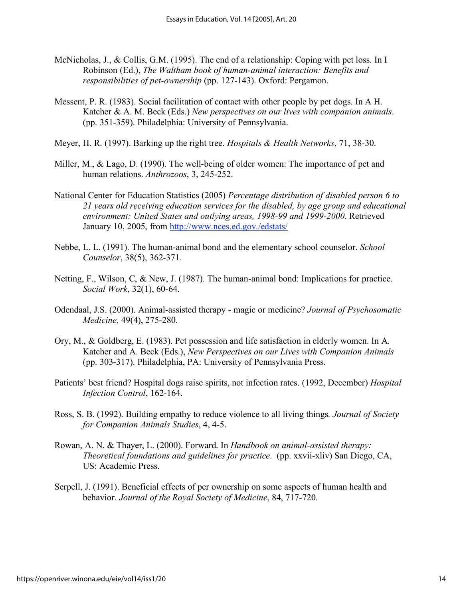- McNicholas, J., & Collis, G.M. (1995). The end of a relationship: Coping with pet loss. In I Robinson (Ed.), *The Waltham book of human-animal interaction: Benefits and responsibilities of pet-ownership* (pp. 127-143). Oxford: Pergamon.
- Messent, P. R. (1983). Social facilitation of contact with other people by pet dogs. In A H. Katcher & A. M. Beck (Eds.) *New perspectives on our lives with companion animals*. (pp. 351-359). Philadelphia: University of Pennsylvania.
- Meyer, H. R. (1997). Barking up the right tree. *Hospitals & Health Networks*, 71, 38-30.
- Miller, M., & Lago, D. (1990). The well-being of older women: The importance of pet and human relations. *Anthrozoos*, 3, 245-252.
- National Center for Education Statistics (2005) *Percentage distribution of disabled person 6 to 21 years old receiving education services for the disabled, by age group and educational environment: United States and outlying areas, 1998-99 and 1999-2000*. Retrieved January 10, 2005, from http://www.nces.ed.gov./edstats/
- Nebbe, L. L. (1991). The human-animal bond and the elementary school counselor. *School Counselor*, 38(5), 362-371.
- Netting, F., Wilson, C, & New, J. (1987). The human-animal bond: Implications for practice. *Social Work*, 32(1), 60-64.
- Odendaal, J.S. (2000). Animal-assisted therapy magic or medicine? *Journal of Psychosomatic Medicine,* 49(4), 275-280.
- Ory, M., & Goldberg, E. (1983). Pet possession and life satisfaction in elderly women. In A. Katcher and A. Beck (Eds.), *New Perspectives on our Lives with Companion Animals* (pp. 303-317). Philadelphia, PA: University of Pennsylvania Press.
- Patients' best friend? Hospital dogs raise spirits, not infection rates. (1992, December) *Hospital Infection Control*, 162-164.
- Ross, S. B. (1992). Building empathy to reduce violence to all living things*. Journal of Society for Companion Animals Studies*, 4, 4-5.
- Rowan, A. N. & Thayer, L. (2000). Forward. In *Handbook on animal-assisted therapy: Theoretical foundations and guidelines for practice*. (pp. xxvii-xliv) San Diego, CA, US: Academic Press.
- Serpell, J. (1991). Beneficial effects of per ownership on some aspects of human health and behavior. *Journal of the Royal Society of Medicine*, 84, 717-720.